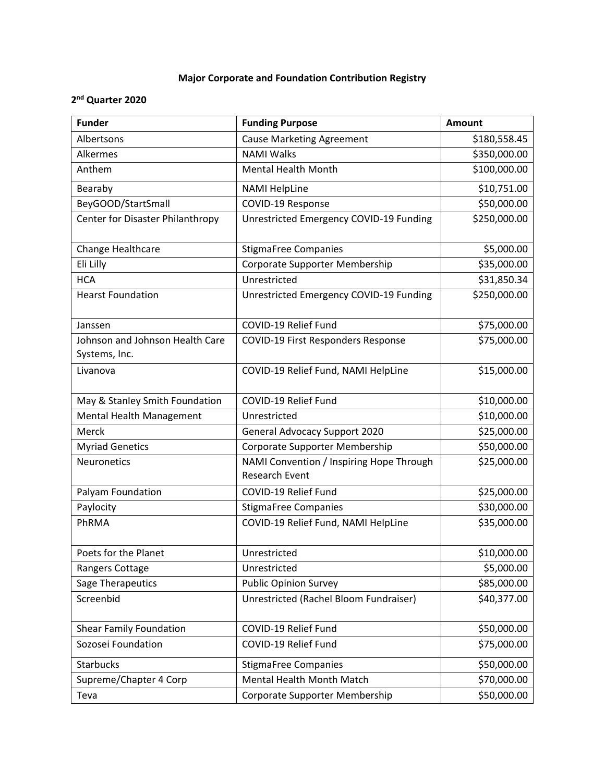## **Major Corporate and Foundation Contribution Registry**

## **2 nd Quarter 2020**

| <b>Funder</b>                                    | <b>Funding Purpose</b>                                            | <b>Amount</b> |
|--------------------------------------------------|-------------------------------------------------------------------|---------------|
| Albertsons                                       | <b>Cause Marketing Agreement</b>                                  | \$180,558.45  |
| Alkermes                                         | <b>NAMI Walks</b>                                                 | \$350,000.00  |
| Anthem                                           | <b>Mental Health Month</b>                                        | \$100,000.00  |
| Bearaby                                          | <b>NAMI HelpLine</b>                                              | \$10,751.00   |
| BeyGOOD/StartSmall                               | COVID-19 Response                                                 | \$50,000.00   |
| Center for Disaster Philanthropy                 | Unrestricted Emergency COVID-19 Funding                           | \$250,000.00  |
| Change Healthcare                                | <b>StigmaFree Companies</b>                                       | \$5,000.00    |
| Eli Lilly                                        | Corporate Supporter Membership                                    | \$35,000.00   |
| <b>HCA</b>                                       | Unrestricted                                                      | \$31,850.34   |
| <b>Hearst Foundation</b>                         | Unrestricted Emergency COVID-19 Funding                           | \$250,000.00  |
| Janssen                                          | COVID-19 Relief Fund                                              | \$75,000.00   |
| Johnson and Johnson Health Care<br>Systems, Inc. | COVID-19 First Responders Response                                | \$75,000.00   |
| Livanova                                         | COVID-19 Relief Fund, NAMI HelpLine                               | \$15,000.00   |
| May & Stanley Smith Foundation                   | COVID-19 Relief Fund                                              | \$10,000.00   |
| Mental Health Management                         | Unrestricted                                                      | \$10,000.00   |
| Merck                                            | <b>General Advocacy Support 2020</b>                              | \$25,000.00   |
| <b>Myriad Genetics</b>                           | Corporate Supporter Membership                                    | \$50,000.00   |
| Neuronetics                                      | NAMI Convention / Inspiring Hope Through<br><b>Research Event</b> | \$25,000.00   |
| Palyam Foundation                                | COVID-19 Relief Fund                                              | \$25,000.00   |
| Paylocity                                        | <b>StigmaFree Companies</b>                                       | \$30,000.00   |
| PhRMA                                            | COVID-19 Relief Fund, NAMI HelpLine                               | \$35,000.00   |
| Poets for the Planet                             | Unrestricted                                                      | \$10,000.00   |
| Rangers Cottage                                  | Unrestricted                                                      | \$5,000.00    |
| Sage Therapeutics                                | <b>Public Opinion Survey</b>                                      | \$85,000.00   |
| Screenbid                                        | Unrestricted (Rachel Bloom Fundraiser)                            | \$40,377.00   |
| <b>Shear Family Foundation</b>                   | COVID-19 Relief Fund                                              | \$50,000.00   |
| Sozosei Foundation                               | COVID-19 Relief Fund                                              | \$75,000.00   |
| <b>Starbucks</b>                                 | <b>StigmaFree Companies</b>                                       | \$50,000.00   |
| Supreme/Chapter 4 Corp                           | Mental Health Month Match                                         | \$70,000.00   |
| Teva                                             | Corporate Supporter Membership                                    | \$50,000.00   |